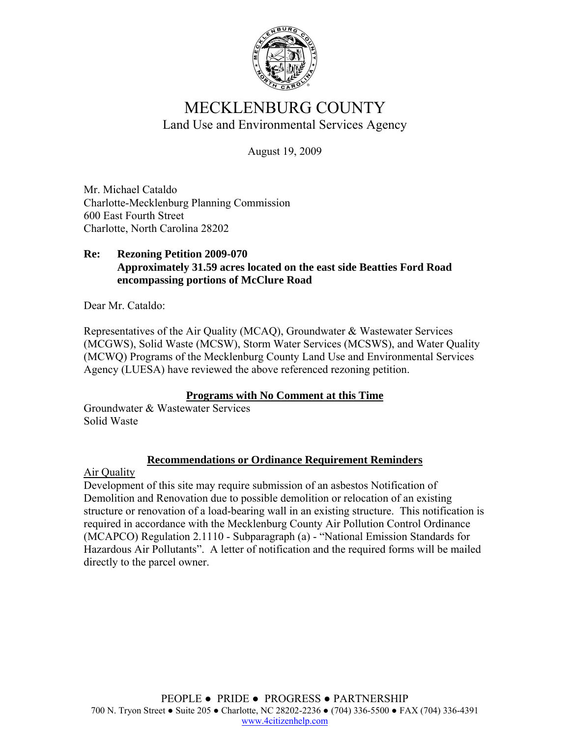

# MECKLENBURG COUNTY Land Use and Environmental Services Agency

August 19, 2009

Mr. Michael Cataldo Charlotte-Mecklenburg Planning Commission 600 East Fourth Street Charlotte, North Carolina 28202

#### **Re: Rezoning Petition 2009-070 Approximately 31.59 acres located on the east side Beatties Ford Road encompassing portions of McClure Road**

Dear Mr. Cataldo:

Representatives of the Air Quality (MCAQ), Groundwater & Wastewater Services (MCGWS), Solid Waste (MCSW), Storm Water Services (MCSWS), and Water Quality (MCWQ) Programs of the Mecklenburg County Land Use and Environmental Services Agency (LUESA) have reviewed the above referenced rezoning petition.

## **Programs with No Comment at this Time**

Groundwater & Wastewater Services Solid Waste

## **Recommendations or Ordinance Requirement Reminders**

Air Quality

Development of this site may require submission of an asbestos Notification of Demolition and Renovation due to possible demolition or relocation of an existing structure or renovation of a load-bearing wall in an existing structure. This notification is required in accordance with the Mecklenburg County Air Pollution Control Ordinance (MCAPCO) Regulation 2.1110 - Subparagraph (a) - "National Emission Standards for Hazardous Air Pollutants". A letter of notification and the required forms will be mailed directly to the parcel owner.